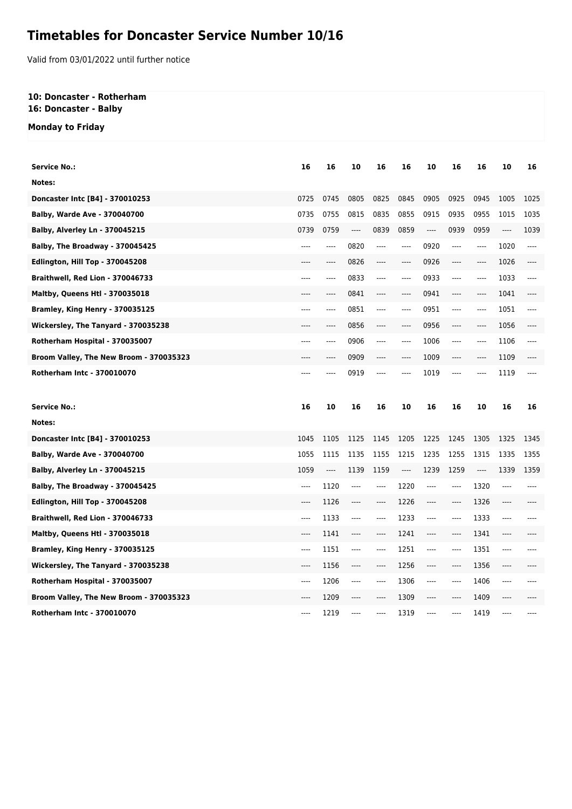## **Timetables for Doncaster Service Number 10/16**

Valid from 03/01/2022 until further notice

## **10: Doncaster - Rotherham 16: Doncaster - Balby**

**Monday to Friday**

| <b>Service No.:</b>                     | 16   | 16   | 10                            | 16   | 16    | 10        | 16    | 16    | 10                            | 16   |
|-----------------------------------------|------|------|-------------------------------|------|-------|-----------|-------|-------|-------------------------------|------|
| Notes:                                  |      |      |                               |      |       |           |       |       |                               |      |
| Doncaster Intc [B4] - 370010253         | 0725 | 0745 | 0805                          | 0825 | 0845  | 0905      | 0925  | 0945  | 1005                          | 1025 |
| <b>Balby, Warde Ave - 370040700</b>     | 0735 | 0755 | 0815                          | 0835 | 0855  | 0915      | 0935  | 0955  | 1015                          | 1035 |
| <b>Balby, Alverley Ln - 370045215</b>   | 0739 | 0759 | ----                          | 0839 | 0859  | ----      | 0939  | 0959  | ----                          | 1039 |
| Balby, The Broadway - 370045425         | ---- | ---- | 0820                          | ---- | $---$ | 0920      | $---$ | $---$ | 1020                          | ---- |
| Edlington, Hill Top - 370045208         |      | ---- | 0826                          | ---- | ----  | 0926      | ----  | ----  | 1026                          | ---- |
| Braithwell, Red Lion - 370046733        | ---- | ---- | 0833                          | ---- | ----  | 0933      | ----  | ----  | 1033                          | ---- |
| <b>Maltby, Queens Htl - 370035018</b>   |      | ---- | 0841                          | ---- | ----  | 0941      | ----  | ----  | 1041                          |      |
| Bramley, King Henry - 370035125         | ---- | ---- | 0851                          | ---- | $---$ | 0951      | ----  | $---$ | 1051                          | ---- |
| Wickersley, The Tanyard - 370035238     |      | ---- | 0856                          | ---- | ----  | 0956      | ----  | ----  | 1056                          |      |
| Rotherham Hospital - 370035007          | ---- | ---- | 0906                          | ---- | ----  | 1006      | ----  | ----  | 1106                          | ---- |
| Broom Valley, The New Broom - 370035323 |      | ---- | 0909                          | ---- | ----  | 1009      | ----  | ----  | 1109                          |      |
| Rotherham Intc - 370010070              | ---- | ---- | 0919                          | ---- | ----  | 1019      | ----  | ----  | 1119                          |      |
|                                         |      |      |                               |      |       |           |       |       |                               |      |
|                                         |      |      |                               |      |       |           |       |       |                               |      |
| Service No.:                            | 16   | 10   | 16                            | 16   | 10    | 16        | 16    | 10    | 16                            | 16   |
| Notes:                                  |      |      |                               |      |       |           |       |       |                               |      |
| Doncaster Intc [B4] - 370010253         | 1045 | 1105 | 1125                          | 1145 | 1205  | 1225      | 1245  | 1305  | 1325                          | 1345 |
| Balby, Warde Ave - 370040700            | 1055 | 1115 | 1135                          | 1155 | 1215  | 1235      | 1255  | 1315  | 1335                          | 1355 |
| <b>Balby, Alverley Ln - 370045215</b>   | 1059 | ---- | 1139                          | 1159 | $---$ | 1239      | 1259  | ----  | 1339                          | 1359 |
| Balby, The Broadway - 370045425         | ---- | 1120 | $---$                         | ---- | 1220  | ----      | ----  | 1320  | $---$                         |      |
| Edlington, Hill Top - 370045208         | ---- | 1126 | $---$                         | ---- | 1226  | $---$     | $---$ | 1326  | $---$                         |      |
| Braithwell, Red Lion - 370046733        | ---- | 1133 | $---$                         | ---- | 1233  | $---$     | $---$ | 1333  | $---$                         |      |
| <b>Maltby, Queens Htl - 370035018</b>   | ---- | 1141 | $\hspace{1.5cm} \textbf{---}$ | ---- | 1241  | $---$     | ----  | 1341  | $\hspace{1.5cm} \textbf{---}$ |      |
| Bramley, King Henry - 370035125         | ---- | 1151 | ----                          | ---- | 1251  | ----      | ----  | 1351  | ----                          |      |
| Wickersley, The Tanyard - 370035238     | ---- | 1156 | $\cdots$                      | ---- | 1256  | ----      | ----  | 1356  | ----                          |      |
| Rotherham Hospital - 370035007          | ---- | 1206 | $---$                         | ---- | 1306  | $- - - -$ | ----  | 1406  | $---$                         |      |
| Broom Valley, The New Broom - 370035323 | ---- | 1209 | $---$                         | ---- | 1309  | $---$     | ----  | 1409  | ----                          |      |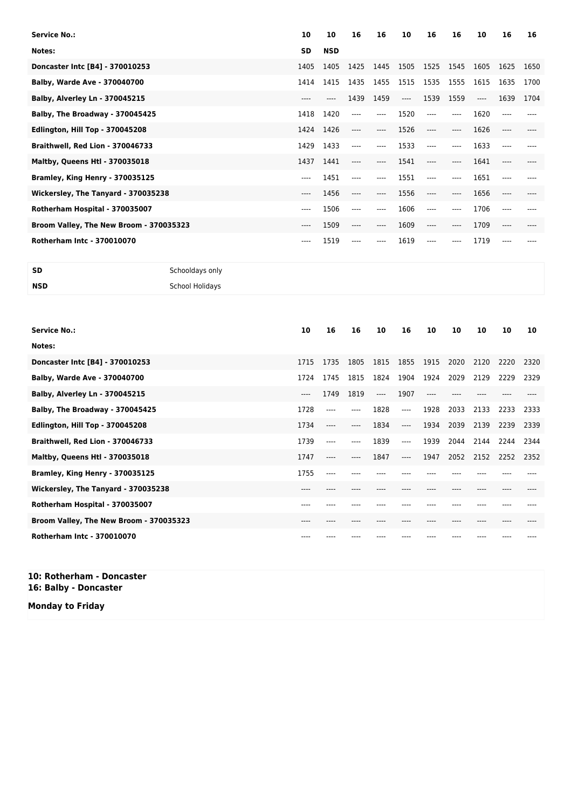| <b>Service No.:</b>                     | 10    | 10         | 16                       | 16        | 10    | 16    | 16    | 10    | 16      | 16   |
|-----------------------------------------|-------|------------|--------------------------|-----------|-------|-------|-------|-------|---------|------|
| Notes:                                  | SD    | <b>NSD</b> |                          |           |       |       |       |       |         |      |
| Doncaster Intc [B4] - 370010253         | 1405  | 1405       | 1425                     | 1445      | 1505  | 1525  | 1545  | 1605  | 1625    | 1650 |
| <b>Balby, Warde Ave - 370040700</b>     | 1414  | 1415       | 1435                     | 1455      | 1515  | 1535  | 1555  | 1615  | 1635    | 1700 |
| Balby, Alverley Ln - 370045215          | ----  |            | 1439                     | 1459      | $---$ | 1539  | 1559  | $---$ | 1639    | 1704 |
| Balby, The Broadway - 370045425         | 1418  | 1420       | $---$                    | ----      | 1520  | $---$ | ----  | 1620  | $---$   |      |
| Edlington, Hill Top - 370045208         | 1424  | 1426       | $---$                    | $---$     | 1526  | $---$ | ----  | 1626  | $---$   |      |
| Braithwell, Red Lion - 370046733        | 1429  | 1433       | $\overline{\phantom{a}}$ | $---$     | 1533  | $---$ | ----  | 1633  | ----    |      |
| <b>Maltby, Queens Htl - 370035018</b>   | 1437  | 1441       | $---$                    | ----      | 1541  | $---$ | ----  | 1641  |         |      |
| Bramley, King Henry - 370035125         | ----  | 1451       | ----                     | $- - - -$ | 1551  | ----  | ----  | 1651  | ----    |      |
| Wickersley, The Tanyard - 370035238     | $---$ | 1456       | $---$                    | ----      | 1556  | $---$ | $---$ | 1656  | $---$   |      |
| Rotherham Hospital - 370035007          | ----  | 1506       | ----                     | $---$     | 1606  | ----  | ----  | 1706  | ----    |      |
| Broom Valley, The New Broom - 370035323 | ----  | 1509       | $---$                    | ----      | 1609  | ----  | ----  | 1709  | $--- -$ |      |
| <b>Rotherham Intc - 370010070</b>       | ----  | 1519       | ----                     | ----      | 1619  | ----  | ----  | 1719  | ----    |      |

| <b>NSD</b><br>School Holidays |  |
|-------------------------------|--|

| <b>Service No.:</b>                     | 10   | 16   | 16   | 10                       | 16    | 10   | 10   | 10   | 10   | 10   |
|-----------------------------------------|------|------|------|--------------------------|-------|------|------|------|------|------|
| Notes:                                  |      |      |      |                          |       |      |      |      |      |      |
| Doncaster Intc [B4] - 370010253         | 1715 | 1735 | 1805 | 1815                     | 1855  | 1915 | 2020 | 2120 | 2220 | 2320 |
| Balby, Warde Ave - 370040700            | 1724 | 1745 | 1815 | 1824                     | 1904  | 1924 | 2029 | 2129 | 2229 | 2329 |
| Balby, Alverley Ln - 370045215          | ---- | 1749 | 1819 | $\overline{\phantom{a}}$ | 1907  |      |      |      |      |      |
| Balby, The Broadway - 370045425         | 1728 | ---- | ---- | 1828                     | $---$ | 1928 | 2033 | 2133 | 2233 | 2333 |
| <b>Edlington, Hill Top - 370045208</b>  | 1734 | ---- | ---- | 1834                     | $---$ | 1934 | 2039 | 2139 | 2239 | 2339 |
| Braithwell, Red Lion - 370046733        | 1739 | ---- | ---- | 1839                     | $---$ | 1939 | 2044 | 2144 | 2244 | 2344 |
| <b>Maltby, Queens Htl - 370035018</b>   | 1747 |      |      | 1847                     | $---$ | 1947 | 2052 | 2152 | 2252 | 2352 |
| Bramley, King Henry - 370035125         | 1755 | ---- |      |                          |       |      |      |      |      |      |
| Wickersley, The Tanyard - 370035238     | ---  |      |      |                          |       |      |      |      |      |      |
| Rotherham Hospital - 370035007          | ---  |      |      |                          |       |      |      |      |      |      |
| Broom Valley, The New Broom - 370035323 | ---- |      |      |                          |       |      |      |      |      |      |
| <b>Rotherham Intc - 370010070</b>       |      |      |      |                          |       |      |      |      |      |      |

```
10: Rotherham - Doncaster
16: Balby - Doncaster
```
**Monday to Friday**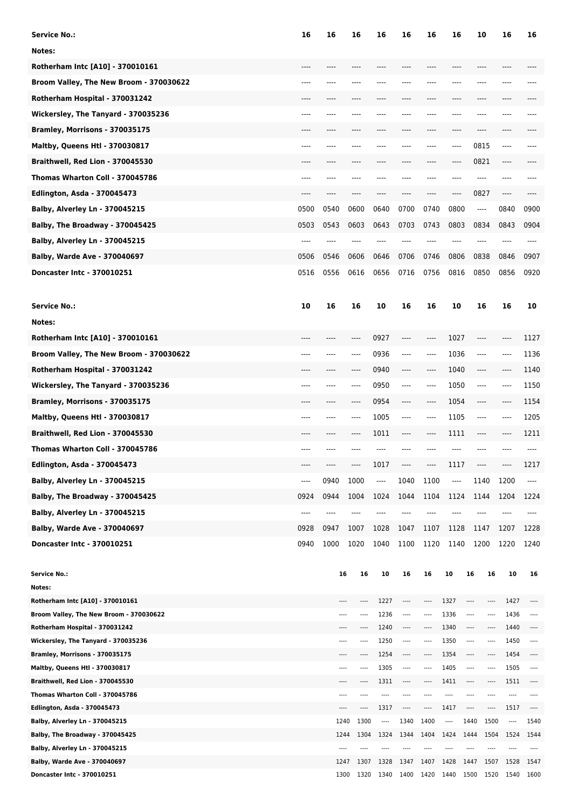| <b>Service No.:</b>                                                 | 16   | 16   |       | 16               | 16   | 16                       | 16           | 16   |                          | 10    | 16                       | 16       |
|---------------------------------------------------------------------|------|------|-------|------------------|------|--------------------------|--------------|------|--------------------------|-------|--------------------------|----------|
| Notes:                                                              |      |      |       |                  |      |                          |              |      |                          |       |                          |          |
| Rotherham Intc [A10] - 370010161                                    |      |      |       |                  |      |                          |              |      |                          |       |                          |          |
| Broom Valley, The New Broom - 370030622                             | ---- |      |       |                  |      |                          |              |      |                          |       |                          |          |
| Rotherham Hospital - 370031242                                      |      |      |       |                  |      |                          |              | ---- |                          | ----  |                          |          |
| Wickersley, The Tanyard - 370035236                                 | ---- |      |       |                  |      |                          |              |      |                          |       |                          |          |
| Bramley, Morrisons - 370035175                                      |      |      |       |                  |      |                          |              |      |                          |       |                          |          |
| Maltby, Queens Htl - 370030817                                      | ---- |      |       |                  |      |                          |              | ---- |                          | 0815  | ----                     |          |
|                                                                     |      |      |       |                  |      |                          |              |      |                          |       |                          |          |
| Braithwell, Red Lion - 370045530                                    |      |      |       |                  |      |                          | ----         | ---- |                          | 0821  | ----                     |          |
| Thomas Wharton Coll - 370045786                                     |      |      |       |                  |      |                          |              |      |                          | ----  |                          |          |
| <b>Edlington, Asda - 370045473</b>                                  |      |      |       |                  |      |                          |              | ---- |                          | 0827  | $---$                    |          |
| <b>Balby, Alverley Ln - 370045215</b>                               | 0500 | 0540 |       | 0600             | 0640 | 0700                     | 0740         | 0800 |                          | ----  | 0840                     | 0900     |
| Balby, The Broadway - 370045425                                     | 0503 | 0543 |       | 0603             | 0643 | 0703                     | 0743         | 0803 |                          | 0834  | 0843                     | 0904     |
| <b>Balby, Alverley Ln - 370045215</b>                               | ---- | ---- |       |                  |      |                          | ----         | ---- |                          | ----  | ----                     |          |
| Balby, Warde Ave - 370040697                                        | 0506 | 0546 |       | 0606             | 0646 | 0706                     | 0746         | 0806 |                          | 0838  | 0846                     | 0907     |
| Doncaster Intc - 370010251                                          | 0516 | 0556 | 0616  |                  | 0656 | 0716                     | 0756         | 0816 |                          | 0850  | 0856                     | 0920     |
| <b>Service No.:</b>                                                 | 10   | 16   |       | 16               | 10   | 16                       | 16           | 10   |                          | 16    | 16                       | 10       |
| Notes:                                                              |      |      |       |                  |      |                          |              |      |                          |       |                          |          |
|                                                                     |      |      |       |                  |      |                          |              |      |                          |       |                          |          |
| Rotherham Intc [A10] - 370010161                                    | ---- |      | ----  |                  | 0927 | ----                     | $---$        | 1027 |                          | ----  |                          | 1127     |
| Broom Valley, The New Broom - 370030622                             | ---- | ---- | ----  |                  | 0936 | ----                     | $---$        | 1036 |                          | ----  | ----                     | 1136     |
| Rotherham Hospital - 370031242                                      | ---- | ---- | ----  |                  | 0940 | ----                     | $---$        | 1040 |                          | ----  | ----                     | 1140     |
| Wickersley, The Tanyard - 370035236                                 | ---- | ---- | ----  |                  | 0950 | ----                     | $---$        | 1050 |                          | ----  | ----                     | 1150     |
| Bramley, Morrisons - 370035175                                      | ---- | ---- | ----  |                  | 0954 | ----                     | $---$        | 1054 |                          | ----  | ----                     | 1154     |
| <b>Maltby, Queens Htl - 370030817</b>                               | ---- | ---- | $---$ |                  | 1005 | ----                     | $-----$      | 1105 |                          | ----  | ----                     | 1205     |
| Braithwell, Red Lion - 370045530                                    | ---- | ---- | ----  |                  | 1011 | ----                     | $---$        | 1111 |                          | ----  | ----                     | 1211     |
| Thomas Wharton Coll - 370045786                                     | ---- |      |       |                  |      |                          |              |      |                          |       |                          | ----     |
| <b>Edlington, Asda - 370045473</b>                                  |      |      |       |                  | 1017 |                          |              | 1117 |                          |       |                          | 1217     |
| Balby, Alverley Ln - 370045215                                      | ---- | 0940 | 1000  |                  | ---- | 1040                     | 1100         | ---- |                          | 1140  | 1200                     | ----     |
| Balby, The Broadway - 370045425                                     | 0924 | 0944 | 1004  |                  | 1024 | 1044                     | 1104         | 1124 |                          | 1144  | 1204                     | 1224     |
| <b>Balby, Alverley Ln - 370045215</b>                               | ---- | ---- |       |                  |      |                          | ----         |      |                          |       |                          |          |
| <b>Balby, Warde Ave - 370040697</b>                                 | 0928 | 0947 | 1007  |                  | 1028 | 1047                     | 1107         | 1128 |                          | 1147  | 1207                     | 1228     |
| Doncaster Intc - 370010251                                          | 0940 | 1000 | 1020  |                  | 1040 | 1100                     | 1120         | 1140 |                          | 1200  | 1220                     | 1240     |
| <b>Service No.:</b>                                                 |      |      | 16    | 16               | 10   | 16                       | 16           | 10   | 16                       | 16    | 10                       | 16       |
| Notes:                                                              |      |      |       |                  |      |                          |              |      |                          |       |                          |          |
| Rotherham Intc [A10] - 370010161                                    |      |      |       | ----             | 1227 | $---$                    | ----         | 1327 | ----                     | ----  | 1427                     | ----     |
| Broom Valley, The New Broom - 370030622                             |      |      | ----  | $---$            | 1236 | $\overline{\phantom{a}}$ | ----         | 1336 | $\cdots$                 | ----  | 1436                     | $\cdots$ |
| Rotherham Hospital - 370031242                                      |      |      |       | ----             | 1240 | $---$                    | ----         | 1340 | $---$                    | ----  | 1440                     | $---$    |
| Wickersley, The Tanyard - 370035236                                 |      |      | ----  | ----             | 1250 | $---$                    | ----         | 1350 | ----                     |       | 1450                     | $\cdots$ |
| Bramley, Morrisons - 370035175                                      |      |      |       | ----             | 1254 | ----                     | ----         | 1354 | ----                     | ----  | 1454                     |          |
| Maltby, Queens Htl - 370030817                                      |      |      | $---$ | ----             | 1305 | $\overline{\phantom{a}}$ | ----         | 1405 | $\overline{\phantom{a}}$ | ----  | 1505                     | ----     |
| Braithwell, Red Lion - 370045530<br>Thomas Wharton Coll - 370045786 |      |      | ----  | $^{***}$<br>---- | 1311 | $---$                    | ----<br>---- | 1411 | $---$<br>----            | $---$ | 1511<br>----             | ----     |
| <b>Edlington, Asda - 370045473</b>                                  |      |      | $---$ | ----             | 1317 | $-----$                  | ----         | 1417 | ----                     | $---$ | 1517                     | $\cdots$ |
| Balby, Alverley Ln - 370045215                                      |      |      | 1240  | 1300             | ---- | 1340                     | 1400         | ---- | 1440                     | 1500  | $\overline{\phantom{a}}$ | 1540     |
| Balby, The Broadway - 370045425                                     |      |      | 1244  | 1304             | 1324 | 1344                     | 1404         | 1424 | 1444                     | 1504  | 1524                     | 1544     |
| Balby, Alverley Ln - 370045215                                      |      |      |       |                  |      |                          |              |      |                          |       |                          |          |
| Balby, Warde Ave - 370040697                                        |      |      | 1247  | 1307             | 1328 | 1347                     | 1407         | 1428 | 1447                     | 1507  | 1528                     | 1547     |
| Doncaster Intc - 370010251                                          |      |      | 1300  | 1320             | 1340 | 1400                     | 1420         | 1440 | 1500                     | 1520  | 1540                     | 1600     |